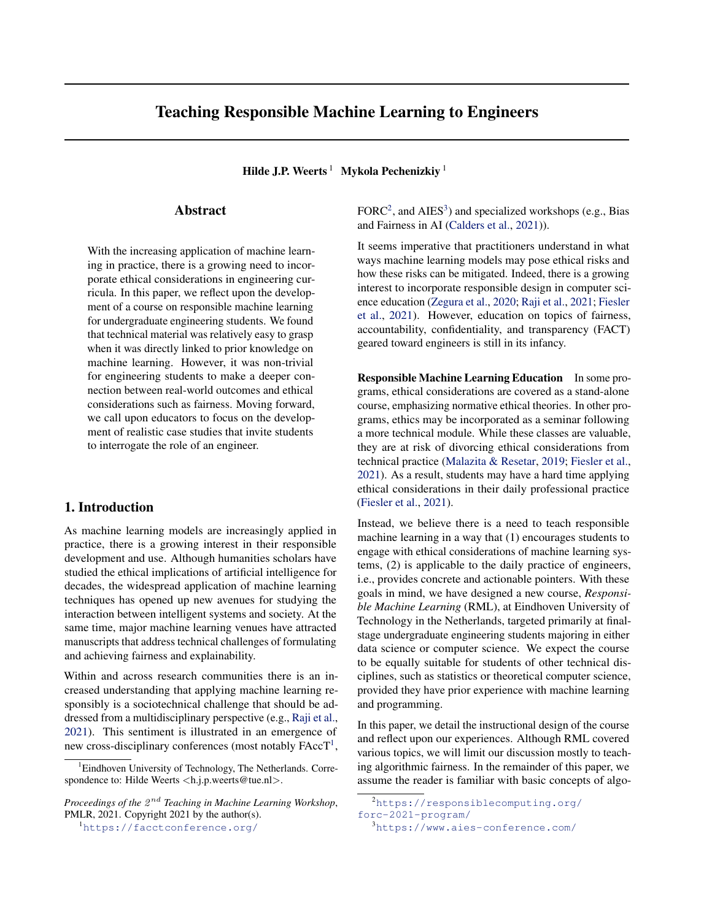# Teaching Responsible Machine Learning to Engineers

Hilde J.P. Weerts<sup>1</sup> Mykola Pechenizkiy<sup>1</sup>

## Abstract

With the increasing application of machine learning in practice, there is a growing need to incorporate ethical considerations in engineering curricula. In this paper, we reflect upon the development of a course on responsible machine learning for undergraduate engineering students. We found that technical material was relatively easy to grasp when it was directly linked to prior knowledge on machine learning. However, it was non-trivial for engineering students to make a deeper connection between real-world outcomes and ethical considerations such as fairness. Moving forward, we call upon educators to focus on the development of realistic case studies that invite students to interrogate the role of an engineer.

## 1. Introduction

As machine learning models are increasingly applied in practice, there is a growing interest in their responsible development and use. Although humanities scholars have studied the ethical implications of artificial intelligence for decades, the widespread application of machine learning techniques has opened up new avenues for studying the interaction between intelligent systems and society. At the same time, major machine learning venues have attracted manuscripts that address technical challenges of formulating and achieving fairness and explainability.

Within and across research communities there is an increased understanding that applying machine learning responsibly is a sociotechnical challenge that should be addressed from a multidisciplinary perspective (e.g., [Raji et al.,](#page-5-0) [2021\)](#page-5-0). This sentiment is illustrated in an emergence of new cross-disciplinary conferences (most notably  $\text{FAcc}T^1$ ,

Proceedings of the  $2^{nd}$  Teaching in Machine Learning Workshop, PMLR, 2021. Copyright 2021 by the author(s).

<sup>1</sup><https://facctconference.org/>

 $\text{FORC}^2$ , and AIES<sup>3</sup>) and specialized workshops (e.g., Bias and Fairness in AI [\(Calders et al.,](#page-4-0) [2021\)](#page-4-0)).

It seems imperative that practitioners understand in what ways machine learning models may pose ethical risks and how these risks can be mitigated. Indeed, there is a growing interest to incorporate responsible design in computer science education [\(Zegura et al.,](#page-5-0) [2020;](#page-5-0) [Raji et al.,](#page-5-0) [2021;](#page-5-0) [Fiesler](#page-4-0) [et al.,](#page-4-0) [2021\)](#page-4-0). However, education on topics of fairness, accountability, confidentiality, and transparency (FACT) geared toward engineers is still in its infancy.

Responsible Machine Learning Education In some programs, ethical considerations are covered as a stand-alone course, emphasizing normative ethical theories. In other programs, ethics may be incorporated as a seminar following a more technical module. While these classes are valuable, they are at risk of divorcing ethical considerations from technical practice [\(Malazita & Resetar,](#page-4-0) [2019;](#page-4-0) [Fiesler et al.,](#page-4-0) [2021\)](#page-4-0). As a result, students may have a hard time applying ethical considerations in their daily professional practice [\(Fiesler et al.,](#page-4-0) [2021\)](#page-4-0).

Instead, we believe there is a need to teach responsible machine learning in a way that (1) encourages students to engage with ethical considerations of machine learning systems, (2) is applicable to the daily practice of engineers, i.e., provides concrete and actionable pointers. With these goals in mind, we have designed a new course, *Responsible Machine Learning* (RML), at Eindhoven University of Technology in the Netherlands, targeted primarily at finalstage undergraduate engineering students majoring in either data science or computer science. We expect the course to be equally suitable for students of other technical disciplines, such as statistics or theoretical computer science, provided they have prior experience with machine learning and programming.

In this paper, we detail the instructional design of the course and reflect upon our experiences. Although RML covered various topics, we will limit our discussion mostly to teaching algorithmic fairness. In the remainder of this paper, we assume the reader is familiar with basic concepts of algo-

<sup>&</sup>lt;sup>1</sup> Eindhoven University of Technology, The Netherlands. Correspondence to: Hilde Weerts <h.j.p.weerts@tue.nl>.

<sup>2</sup>[https://responsiblecomputing.org/](https://responsiblecomputing.org/forc-2021-program/) [forc-2021-program/](https://responsiblecomputing.org/forc-2021-program/)

<sup>3</sup><https://www.aies-conference.com/>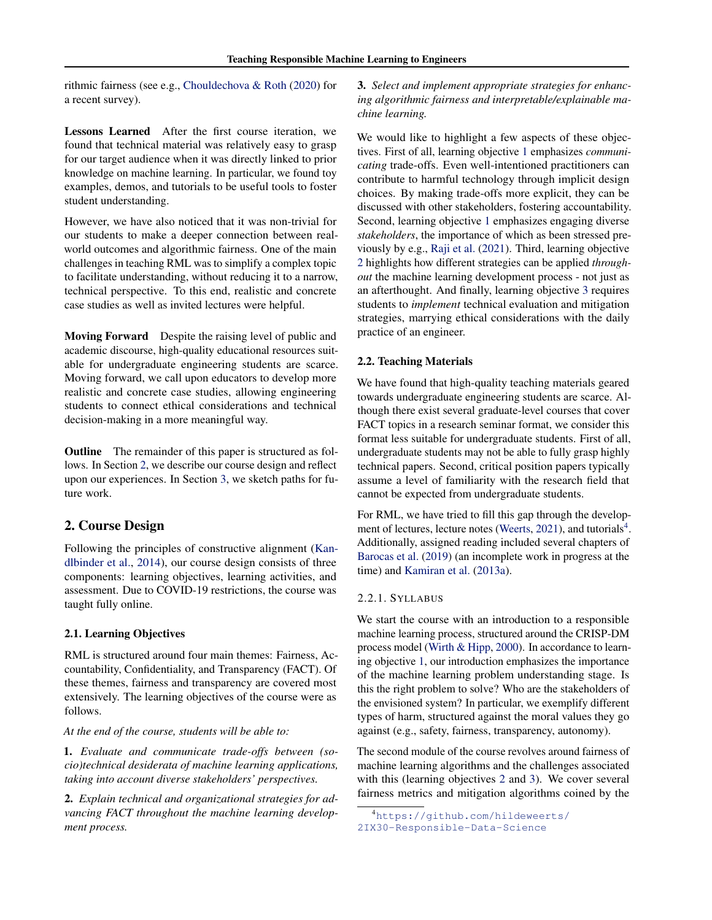<span id="page-1-0"></span>rithmic fairness (see e.g., [Chouldechova & Roth](#page-4-0) [\(2020\)](#page-4-0) for a recent survey).

Lessons Learned After the first course iteration, we found that technical material was relatively easy to grasp for our target audience when it was directly linked to prior knowledge on machine learning. In particular, we found toy examples, demos, and tutorials to be useful tools to foster student understanding.

However, we have also noticed that it was non-trivial for our students to make a deeper connection between realworld outcomes and algorithmic fairness. One of the main challenges in teaching RML was to simplify a complex topic to facilitate understanding, without reducing it to a narrow, technical perspective. To this end, realistic and concrete case studies as well as invited lectures were helpful.

Moving Forward Despite the raising level of public and academic discourse, high-quality educational resources suitable for undergraduate engineering students are scarce. Moving forward, we call upon educators to develop more realistic and concrete case studies, allowing engineering students to connect ethical considerations and technical decision-making in a more meaningful way.

**Outline** The remainder of this paper is structured as follows. In Section 2, we describe our course design and reflect upon our experiences. In Section [3,](#page-3-0) we sketch paths for future work.

## 2. Course Design

Following the principles of constructive alignment [\(Kan](#page-4-0)[dlbinder et al.,](#page-4-0) [2014\)](#page-4-0), our course design consists of three components: learning objectives, learning activities, and assessment. Due to COVID-19 restrictions, the course was taught fully online.

#### 2.1. Learning Objectives

RML is structured around four main themes: Fairness, Accountability, Confidentiality, and Transparency (FACT). Of these themes, fairness and transparency are covered most extensively. The learning objectives of the course were as follows.

*At the end of the course, students will be able to:*

1. *Evaluate and communicate trade-offs between (socio)technical desiderata of machine learning applications, taking into account diverse stakeholders' perspectives.*

2. *Explain technical and organizational strategies for advancing FACT throughout the machine learning development process.*

3. *Select and implement appropriate strategies for enhancing algorithmic fairness and interpretable/explainable machine learning.*

We would like to highlight a few aspects of these objectives. First of all, learning objective 1 emphasizes *communicating* trade-offs. Even well-intentioned practitioners can contribute to harmful technology through implicit design choices. By making trade-offs more explicit, they can be discussed with other stakeholders, fostering accountability. Second, learning objective 1 emphasizes engaging diverse *stakeholders*, the importance of which as been stressed previously by e.g., [Raji et al.](#page-5-0) [\(2021\)](#page-5-0). Third, learning objective 2 highlights how different strategies can be applied *throughout* the machine learning development process - not just as an afterthought. And finally, learning objective 3 requires students to *implement* technical evaluation and mitigation strategies, marrying ethical considerations with the daily practice of an engineer.

#### 2.2. Teaching Materials

We have found that high-quality teaching materials geared towards undergraduate engineering students are scarce. Although there exist several graduate-level courses that cover FACT topics in a research seminar format, we consider this format less suitable for undergraduate students. First of all, undergraduate students may not be able to fully grasp highly technical papers. Second, critical position papers typically assume a level of familiarity with the research field that cannot be expected from undergraduate students.

For RML, we have tried to fill this gap through the develop-ment of lectures, lecture notes [\(Weerts,](#page-5-0) [2021\)](#page-5-0), and tutorials<sup>4</sup>. Additionally, assigned reading included several chapters of [Barocas et al.](#page-4-0) [\(2019\)](#page-4-0) (an incomplete work in progress at the time) and [Kamiran et al.](#page-4-0) [\(2013a\)](#page-4-0).

### 2.2.1. SYLLABUS

We start the course with an introduction to a responsible machine learning process, structured around the CRISP-DM process model [\(Wirth & Hipp,](#page-5-0) [2000\)](#page-5-0). In accordance to learning objective 1, our introduction emphasizes the importance of the machine learning problem understanding stage. Is this the right problem to solve? Who are the stakeholders of the envisioned system? In particular, we exemplify different types of harm, structured against the moral values they go against (e.g., safety, fairness, transparency, autonomy).

The second module of the course revolves around fairness of machine learning algorithms and the challenges associated with this (learning objectives 2 and 3). We cover several fairness metrics and mitigation algorithms coined by the

<sup>4</sup>[https://github.com/hildeweerts/](https://github.com/hildeweerts/2IX30-Responsible-Data-Science) [2IX30-Responsible-Data-Science](https://github.com/hildeweerts/2IX30-Responsible-Data-Science)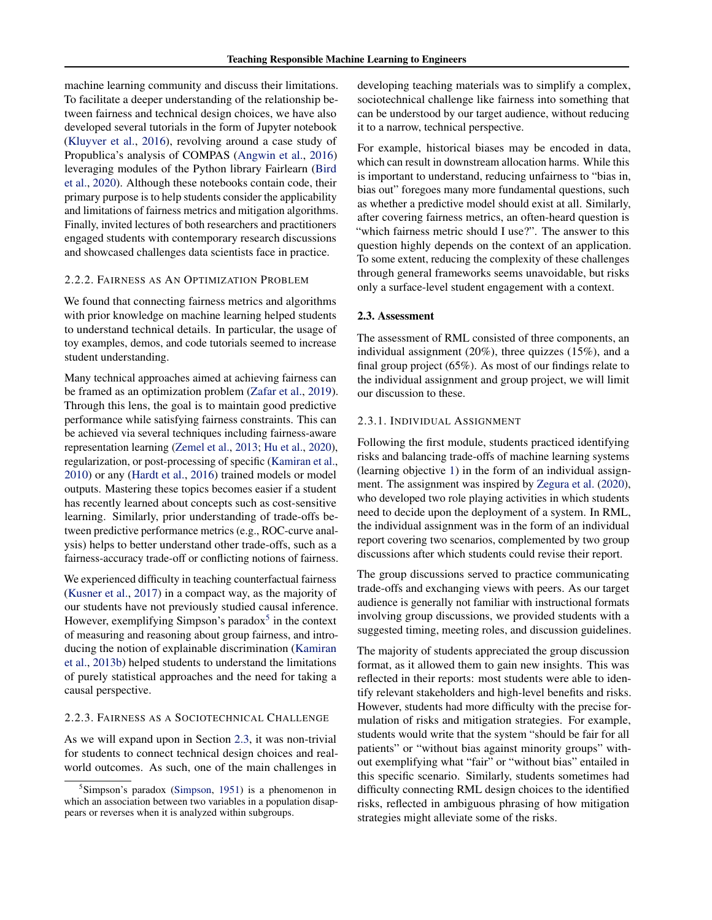machine learning community and discuss their limitations. To facilitate a deeper understanding of the relationship between fairness and technical design choices, we have also developed several tutorials in the form of Jupyter notebook [\(Kluyver et al.,](#page-4-0) [2016\)](#page-4-0), revolving around a case study of Propublica's analysis of COMPAS [\(Angwin et al.,](#page-4-0) [2016\)](#page-4-0) leveraging modules of the Python library Fairlearn [\(Bird](#page-4-0) [et al.,](#page-4-0) [2020\)](#page-4-0). Although these notebooks contain code, their primary purpose is to help students consider the applicability and limitations of fairness metrics and mitigation algorithms. Finally, invited lectures of both researchers and practitioners engaged students with contemporary research discussions and showcased challenges data scientists face in practice.

## 2.2.2. FAIRNESS AS AN OPTIMIZATION PROBLEM

We found that connecting fairness metrics and algorithms with prior knowledge on machine learning helped students to understand technical details. In particular, the usage of toy examples, demos, and code tutorials seemed to increase student understanding.

Many technical approaches aimed at achieving fairness can be framed as an optimization problem [\(Zafar et al.,](#page-5-0) [2019\)](#page-5-0). Through this lens, the goal is to maintain good predictive performance while satisfying fairness constraints. This can be achieved via several techniques including fairness-aware representation learning [\(Zemel et al.,](#page-5-0) [2013;](#page-5-0) [Hu et al.,](#page-4-0) [2020\)](#page-4-0), regularization, or post-processing of specific [\(Kamiran et al.,](#page-4-0) [2010\)](#page-4-0) or any [\(Hardt et al.,](#page-4-0) [2016\)](#page-4-0) trained models or model outputs. Mastering these topics becomes easier if a student has recently learned about concepts such as cost-sensitive learning. Similarly, prior understanding of trade-offs between predictive performance metrics (e.g., ROC-curve analysis) helps to better understand other trade-offs, such as a fairness-accuracy trade-off or conflicting notions of fairness.

We experienced difficulty in teaching counterfactual fairness [\(Kusner et al.,](#page-4-0) [2017\)](#page-4-0) in a compact way, as the majority of our students have not previously studied causal inference. However, exemplifying Simpson's paradox $<sup>5</sup>$  in the context</sup> of measuring and reasoning about group fairness, and introducing the notion of explainable discrimination [\(Kamiran](#page-4-0) [et al.,](#page-4-0) [2013b\)](#page-4-0) helped students to understand the limitations of purely statistical approaches and the need for taking a causal perspective.

#### 2.2.3. FAIRNESS AS A SOCIOTECHNICAL CHALLENGE

As we will expand upon in Section 2.3, it was non-trivial for students to connect technical design choices and realworld outcomes. As such, one of the main challenges in

developing teaching materials was to simplify a complex, sociotechnical challenge like fairness into something that can be understood by our target audience, without reducing it to a narrow, technical perspective.

For example, historical biases may be encoded in data, which can result in downstream allocation harms. While this is important to understand, reducing unfairness to "bias in, bias out" foregoes many more fundamental questions, such as whether a predictive model should exist at all. Similarly, after covering fairness metrics, an often-heard question is "which fairness metric should I use?". The answer to this question highly depends on the context of an application. To some extent, reducing the complexity of these challenges through general frameworks seems unavoidable, but risks only a surface-level student engagement with a context.

#### 2.3. Assessment

The assessment of RML consisted of three components, an individual assignment (20%), three quizzes (15%), and a final group project (65%). As most of our findings relate to the individual assignment and group project, we will limit our discussion to these.

#### 2.3.1. INDIVIDUAL ASSIGNMENT

Following the first module, students practiced identifying risks and balancing trade-offs of machine learning systems (learning objective [1\)](#page-1-0) in the form of an individual assignment. The assignment was inspired by [Zegura et al.](#page-5-0) [\(2020\)](#page-5-0), who developed two role playing activities in which students need to decide upon the deployment of a system. In RML, the individual assignment was in the form of an individual report covering two scenarios, complemented by two group discussions after which students could revise their report.

The group discussions served to practice communicating trade-offs and exchanging views with peers. As our target audience is generally not familiar with instructional formats involving group discussions, we provided students with a suggested timing, meeting roles, and discussion guidelines.

The majority of students appreciated the group discussion format, as it allowed them to gain new insights. This was reflected in their reports: most students were able to identify relevant stakeholders and high-level benefits and risks. However, students had more difficulty with the precise formulation of risks and mitigation strategies. For example, students would write that the system "should be fair for all patients" or "without bias against minority groups" without exemplifying what "fair" or "without bias" entailed in this specific scenario. Similarly, students sometimes had difficulty connecting RML design choices to the identified risks, reflected in ambiguous phrasing of how mitigation strategies might alleviate some of the risks.

<sup>5</sup> Simpson's paradox [\(Simpson,](#page-5-0) [1951\)](#page-5-0) is a phenomenon in which an association between two variables in a population disappears or reverses when it is analyzed within subgroups.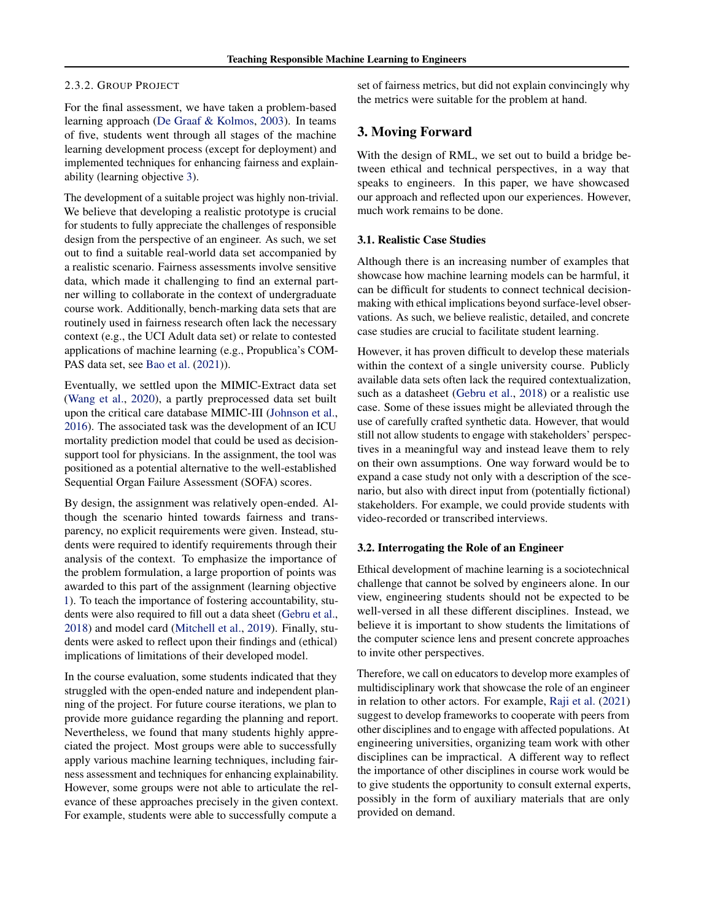#### <span id="page-3-0"></span>2.3.2. GROUP PROJECT

For the final assessment, we have taken a problem-based learning approach [\(De Graaf & Kolmos,](#page-4-0) [2003\)](#page-4-0). In teams of five, students went through all stages of the machine learning development process (except for deployment) and implemented techniques for enhancing fairness and explainability (learning objective [3\)](#page-1-0).

The development of a suitable project was highly non-trivial. We believe that developing a realistic prototype is crucial for students to fully appreciate the challenges of responsible design from the perspective of an engineer. As such, we set out to find a suitable real-world data set accompanied by a realistic scenario. Fairness assessments involve sensitive data, which made it challenging to find an external partner willing to collaborate in the context of undergraduate course work. Additionally, bench-marking data sets that are routinely used in fairness research often lack the necessary context (e.g., the UCI Adult data set) or relate to contested applications of machine learning (e.g., Propublica's COM-PAS data set, see [Bao et al.](#page-4-0) [\(2021\)](#page-4-0)).

Eventually, we settled upon the MIMIC-Extract data set [\(Wang et al.,](#page-5-0) [2020\)](#page-5-0), a partly preprocessed data set built upon the critical care database MIMIC-III [\(Johnson et al.,](#page-4-0) [2016\)](#page-4-0). The associated task was the development of an ICU mortality prediction model that could be used as decisionsupport tool for physicians. In the assignment, the tool was positioned as a potential alternative to the well-established Sequential Organ Failure Assessment (SOFA) scores.

By design, the assignment was relatively open-ended. Although the scenario hinted towards fairness and transparency, no explicit requirements were given. Instead, students were required to identify requirements through their analysis of the context. To emphasize the importance of the problem formulation, a large proportion of points was awarded to this part of the assignment (learning objective [1\)](#page-1-0). To teach the importance of fostering accountability, students were also required to fill out a data sheet [\(Gebru et al.,](#page-4-0) [2018\)](#page-4-0) and model card [\(Mitchell et al.,](#page-5-0) [2019\)](#page-5-0). Finally, students were asked to reflect upon their findings and (ethical) implications of limitations of their developed model.

In the course evaluation, some students indicated that they struggled with the open-ended nature and independent planning of the project. For future course iterations, we plan to provide more guidance regarding the planning and report. Nevertheless, we found that many students highly appreciated the project. Most groups were able to successfully apply various machine learning techniques, including fairness assessment and techniques for enhancing explainability. However, some groups were not able to articulate the relevance of these approaches precisely in the given context. For example, students were able to successfully compute a set of fairness metrics, but did not explain convincingly why the metrics were suitable for the problem at hand.

## 3. Moving Forward

With the design of RML, we set out to build a bridge between ethical and technical perspectives, in a way that speaks to engineers. In this paper, we have showcased our approach and reflected upon our experiences. However, much work remains to be done.

#### 3.1. Realistic Case Studies

Although there is an increasing number of examples that showcase how machine learning models can be harmful, it can be difficult for students to connect technical decisionmaking with ethical implications beyond surface-level observations. As such, we believe realistic, detailed, and concrete case studies are crucial to facilitate student learning.

However, it has proven difficult to develop these materials within the context of a single university course. Publicly available data sets often lack the required contextualization, such as a datasheet [\(Gebru et al.,](#page-4-0) [2018\)](#page-4-0) or a realistic use case. Some of these issues might be alleviated through the use of carefully crafted synthetic data. However, that would still not allow students to engage with stakeholders' perspectives in a meaningful way and instead leave them to rely on their own assumptions. One way forward would be to expand a case study not only with a description of the scenario, but also with direct input from (potentially fictional) stakeholders. For example, we could provide students with video-recorded or transcribed interviews.

#### 3.2. Interrogating the Role of an Engineer

Ethical development of machine learning is a sociotechnical challenge that cannot be solved by engineers alone. In our view, engineering students should not be expected to be well-versed in all these different disciplines. Instead, we believe it is important to show students the limitations of the computer science lens and present concrete approaches to invite other perspectives.

Therefore, we call on educators to develop more examples of multidisciplinary work that showcase the role of an engineer in relation to other actors. For example, [Raji et al.](#page-5-0) [\(2021\)](#page-5-0) suggest to develop frameworks to cooperate with peers from other disciplines and to engage with affected populations. At engineering universities, organizing team work with other disciplines can be impractical. A different way to reflect the importance of other disciplines in course work would be to give students the opportunity to consult external experts, possibly in the form of auxiliary materials that are only provided on demand.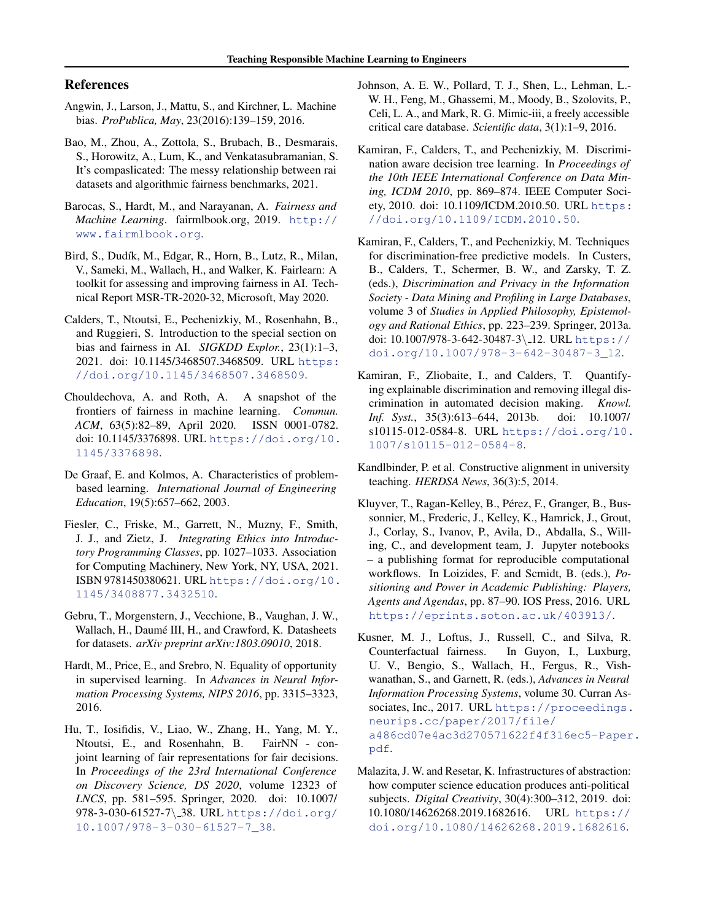## <span id="page-4-0"></span>References

- Angwin, J., Larson, J., Mattu, S., and Kirchner, L. Machine bias. *ProPublica, May*, 23(2016):139–159, 2016.
- Bao, M., Zhou, A., Zottola, S., Brubach, B., Desmarais, S., Horowitz, A., Lum, K., and Venkatasubramanian, S. It's compaslicated: The messy relationship between rai datasets and algorithmic fairness benchmarks, 2021.
- Barocas, S., Hardt, M., and Narayanan, A. *Fairness and Machine Learning*. fairmlbook.org, 2019. [http://](http://www.fairmlbook.org) [www.fairmlbook.org](http://www.fairmlbook.org).
- Bird, S., Dudík, M., Edgar, R., Horn, B., Lutz, R., Milan, V., Sameki, M., Wallach, H., and Walker, K. Fairlearn: A toolkit for assessing and improving fairness in AI. Technical Report MSR-TR-2020-32, Microsoft, May 2020.
- Calders, T., Ntoutsi, E., Pechenizkiy, M., Rosenhahn, B., and Ruggieri, S. Introduction to the special section on bias and fairness in AI. *SIGKDD Explor.*, 23(1):1–3, 2021. doi: 10.1145/3468507.3468509. URL [https:](https://doi.org/10.1145/3468507.3468509) [//doi.org/10.1145/3468507.3468509](https://doi.org/10.1145/3468507.3468509).
- Chouldechova, A. and Roth, A. A snapshot of the frontiers of fairness in machine learning. *Commun. ACM*, 63(5):82–89, April 2020. ISSN 0001-0782. doi: 10.1145/3376898. URL [https://doi.org/10.](https://doi.org/10.1145/3376898) [1145/3376898](https://doi.org/10.1145/3376898).
- De Graaf, E. and Kolmos, A. Characteristics of problembased learning. *International Journal of Engineering Education*, 19(5):657–662, 2003.
- Fiesler, C., Friske, M., Garrett, N., Muzny, F., Smith, J. J., and Zietz, J. *Integrating Ethics into Introductory Programming Classes*, pp. 1027–1033. Association for Computing Machinery, New York, NY, USA, 2021. ISBN 9781450380621. URL [https://doi.org/10.](https://doi.org/10.1145/3408877.3432510) [1145/3408877.3432510](https://doi.org/10.1145/3408877.3432510).
- Gebru, T., Morgenstern, J., Vecchione, B., Vaughan, J. W., Wallach, H., Daumé III, H., and Crawford, K. Datasheets for datasets. *arXiv preprint arXiv:1803.09010*, 2018.
- Hardt, M., Price, E., and Srebro, N. Equality of opportunity in supervised learning. In *Advances in Neural Information Processing Systems, NIPS 2016*, pp. 3315–3323, 2016.
- Hu, T., Iosifidis, V., Liao, W., Zhang, H., Yang, M. Y., Ntoutsi, E., and Rosenhahn, B. FairNN - conjoint learning of fair representations for fair decisions. In *Proceedings of the 23rd International Conference on Discovery Science, DS 2020*, volume 12323 of *LNCS*, pp. 581–595. Springer, 2020. doi: 10.1007/ 978-3-030-61527-7\ 38. URL [https://doi.org/](https://doi.org/10.1007/978-3-030-61527-7_38) [10.1007/978-3-030-61527-7\\_38](https://doi.org/10.1007/978-3-030-61527-7_38).
- Johnson, A. E. W., Pollard, T. J., Shen, L., Lehman, L.- W. H., Feng, M., Ghassemi, M., Moody, B., Szolovits, P., Celi, L. A., and Mark, R. G. Mimic-iii, a freely accessible critical care database. *Scientific data*, 3(1):1–9, 2016.
- Kamiran, F., Calders, T., and Pechenizkiy, M. Discrimination aware decision tree learning. In *Proceedings of the 10th IEEE International Conference on Data Mining, ICDM 2010*, pp. 869–874. IEEE Computer Society, 2010. doi: 10.1109/ICDM.2010.50. URL [https:](https://doi.org/10.1109/ICDM.2010.50) [//doi.org/10.1109/ICDM.2010.50](https://doi.org/10.1109/ICDM.2010.50).
- Kamiran, F., Calders, T., and Pechenizkiy, M. Techniques for discrimination-free predictive models. In Custers, B., Calders, T., Schermer, B. W., and Zarsky, T. Z. (eds.), *Discrimination and Privacy in the Information Society - Data Mining and Profiling in Large Databases*, volume 3 of *Studies in Applied Philosophy, Epistemology and Rational Ethics*, pp. 223–239. Springer, 2013a. doi: 10.1007/978-3-642-30487-3\12. URL [https://](https://doi.org/10.1007/978-3-642-30487-3_12) [doi.org/10.1007/978-3-642-30487-3\\_12](https://doi.org/10.1007/978-3-642-30487-3_12).
- Kamiran, F., Zliobaite, I., and Calders, T. Quantifying explainable discrimination and removing illegal discrimination in automated decision making. *Knowl. Inf. Syst.*, 35(3):613–644, 2013b. doi: 10.1007/ s10115-012-0584-8. URL [https://doi.org/10.](https://doi.org/10.1007/s10115-012-0584-8) [1007/s10115-012-0584-8](https://doi.org/10.1007/s10115-012-0584-8).
- Kandlbinder, P. et al. Constructive alignment in university teaching. *HERDSA News*, 36(3):5, 2014.
- Kluyver, T., Ragan-Kelley, B., Pérez, F., Granger, B., Bussonnier, M., Frederic, J., Kelley, K., Hamrick, J., Grout, J., Corlay, S., Ivanov, P., Avila, D., Abdalla, S., Willing, C., and development team, J. Jupyter notebooks – a publishing format for reproducible computational workflows. In Loizides, F. and Scmidt, B. (eds.), *Positioning and Power in Academic Publishing: Players, Agents and Agendas*, pp. 87–90. IOS Press, 2016. URL <https://eprints.soton.ac.uk/403913/>.
- Kusner, M. J., Loftus, J., Russell, C., and Silva, R. Counterfactual fairness. In Guyon, I., Luxburg, U. V., Bengio, S., Wallach, H., Fergus, R., Vishwanathan, S., and Garnett, R. (eds.), *Advances in Neural Information Processing Systems*, volume 30. Curran Associates, Inc., 2017. URL [https://proceedings.](https://proceedings.neurips.cc/paper/2017/file/a486cd07e4ac3d270571622f4f316ec5-Paper.pdf) [neurips.cc/paper/2017/file/](https://proceedings.neurips.cc/paper/2017/file/a486cd07e4ac3d270571622f4f316ec5-Paper.pdf) [a486cd07e4ac3d270571622f4f316ec5-Paper](https://proceedings.neurips.cc/paper/2017/file/a486cd07e4ac3d270571622f4f316ec5-Paper.pdf). [pdf](https://proceedings.neurips.cc/paper/2017/file/a486cd07e4ac3d270571622f4f316ec5-Paper.pdf).
- Malazita, J. W. and Resetar, K. Infrastructures of abstraction: how computer science education produces anti-political subjects. *Digital Creativity*, 30(4):300–312, 2019. doi: 10.1080/14626268.2019.1682616. URL [https://](https://doi.org/10.1080/14626268.2019.1682616) [doi.org/10.1080/14626268.2019.1682616](https://doi.org/10.1080/14626268.2019.1682616).